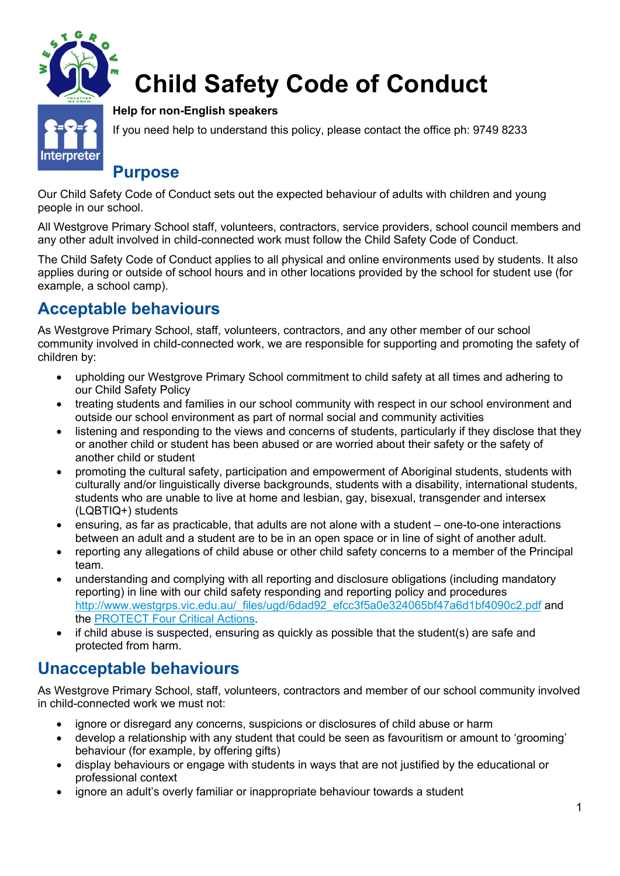

# **Child Safety Code of Conduct**

#### **Help for non-English speakers**

If you need help to understand this policy, please contact the office ph: 9749 8233

#### **Purpose**

Our Child Safety Code of Conduct sets out the expected behaviour of adults with children and young people in our school.

All Westgrove Primary School staff, volunteers, contractors, service providers, school council members and any other adult involved in child-connected work must follow the Child Safety Code of Conduct.

The Child Safety Code of Conduct applies to all physical and online environments used by students. It also applies during or outside of school hours and in other locations provided by the school for student use (for example, a school camp).

### **Acceptable behaviours**

As Westgrove Primary School, staff, volunteers, contractors, and any other member of our school community involved in child-connected work, we are responsible for supporting and promoting the safety of children by:

- upholding our Westgrove Primary School commitment to child safety at all times and adhering to our Child Safety Policy
- treating students and families in our school community with respect in our school environment and outside our school environment as part of normal social and community activities
- listening and responding to the views and concerns of students, particularly if they disclose that they or another child or student has been abused or are worried about their safety or the safety of another child or student
- promoting the cultural safety, participation and empowerment of Aboriginal students, students with culturally and/or linguistically diverse backgrounds, students with a disability, international students, students who are unable to live at home and lesbian, gay, bisexual, transgender and intersex (LQBTIQ+) students
- ensuring, as far as practicable, that adults are not alone with a student one-to-one interactions between an adult and a student are to be in an open space or in line of sight of another adult.
- reporting any allegations of child abuse or other child safety concerns to a member of the Principal team.
- understanding and complying with all reporting and disclosure obligations (including mandatory reporting) in line with our child safety responding and reporting policy and procedures http://www.westgrps.vic.edu.au/\_files/ugd/6dad92\_efcc3f5a0e324065bf47a6d1bf4090c2.pdf and the PROTECT Four Critical Actions.
- if child abuse is suspected, ensuring as quickly as possible that the student(s) are safe and protected from harm.

#### **Unacceptable behaviours**

As Westgrove Primary School, staff, volunteers, contractors and member of our school community involved in child-connected work we must not:

- ignore or disregard any concerns, suspicions or disclosures of child abuse or harm
- develop a relationship with any student that could be seen as favouritism or amount to 'grooming' behaviour (for example, by offering gifts)
- display behaviours or engage with students in ways that are not justified by the educational or professional context
- ignore an adult's overly familiar or inappropriate behaviour towards a student